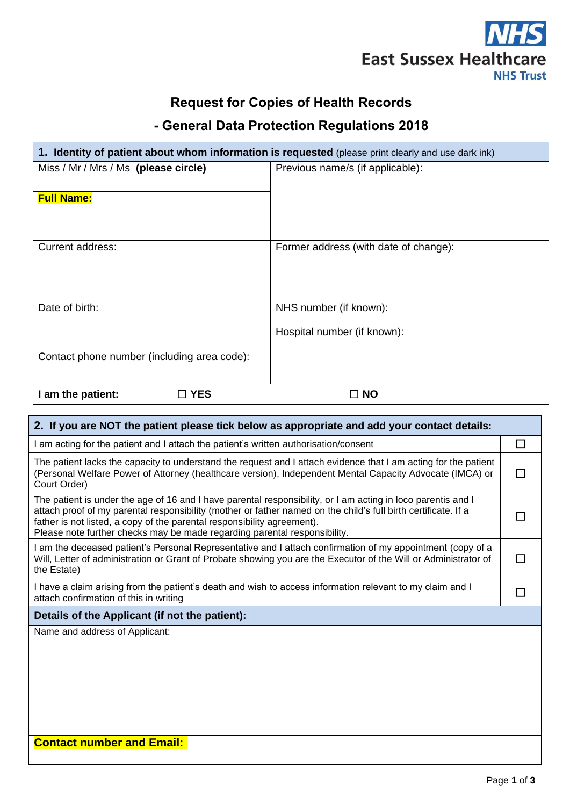

# **Request for Copies of Health Records**

# **- General Data Protection Regulations 2018**

| 1. Identity of patient about whom information is requested (please print clearly and use dark ink) |                                       |  |
|----------------------------------------------------------------------------------------------------|---------------------------------------|--|
| Miss / Mr / Mrs / Ms (please circle)                                                               | Previous name/s (if applicable):      |  |
| <b>Full Name:</b>                                                                                  |                                       |  |
| <b>Current address:</b>                                                                            | Former address (with date of change): |  |
|                                                                                                    |                                       |  |
| Date of birth:                                                                                     | NHS number (if known):                |  |
|                                                                                                    | Hospital number (if known):           |  |
| Contact phone number (including area code):                                                        |                                       |  |
| I am the patient:<br>$\square$ YES                                                                 | <b>NO</b>                             |  |

| 2. If you are NOT the patient please tick below as appropriate and add your contact details:                                                                                                                                                                                                                                                                                           |  |  |  |
|----------------------------------------------------------------------------------------------------------------------------------------------------------------------------------------------------------------------------------------------------------------------------------------------------------------------------------------------------------------------------------------|--|--|--|
| I am acting for the patient and I attach the patient's written authorisation/consent                                                                                                                                                                                                                                                                                                   |  |  |  |
| The patient lacks the capacity to understand the request and I attach evidence that I am acting for the patient<br>(Personal Welfare Power of Attorney (healthcare version), Independent Mental Capacity Advocate (IMCA) or<br>Court Order)                                                                                                                                            |  |  |  |
| The patient is under the age of 16 and I have parental responsibility, or I am acting in loco parentis and I<br>attach proof of my parental responsibility (mother or father named on the child's full birth certificate. If a<br>father is not listed, a copy of the parental responsibility agreement).<br>Please note further checks may be made regarding parental responsibility. |  |  |  |
| I am the deceased patient's Personal Representative and I attach confirmation of my appointment (copy of a<br>Will, Letter of administration or Grant of Probate showing you are the Executor of the Will or Administrator of<br>the Estate)                                                                                                                                           |  |  |  |
| I have a claim arising from the patient's death and wish to access information relevant to my claim and I<br>attach confirmation of this in writing                                                                                                                                                                                                                                    |  |  |  |
| Details of the Applicant (if not the patient):                                                                                                                                                                                                                                                                                                                                         |  |  |  |
| Name and address of Applicant:<br><b>Contact number and Email:</b>                                                                                                                                                                                                                                                                                                                     |  |  |  |
|                                                                                                                                                                                                                                                                                                                                                                                        |  |  |  |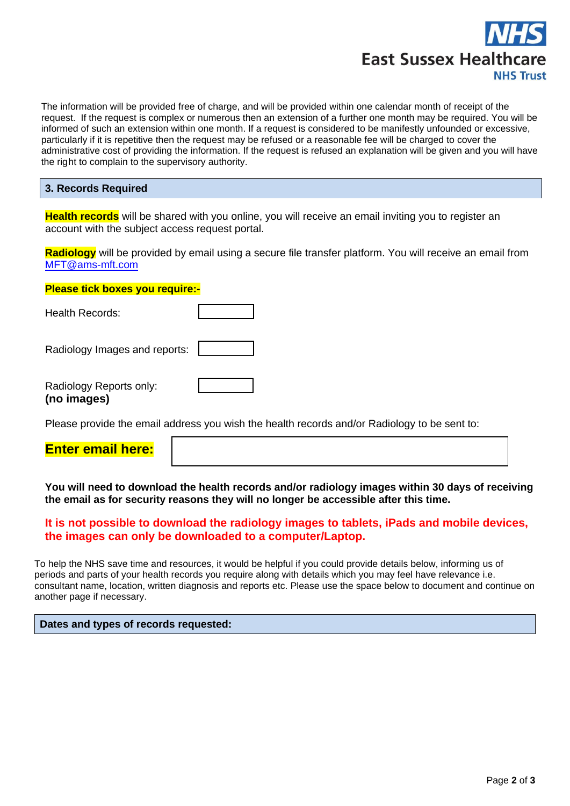

The information will be provided free of charge, and will be provided within one calendar month of receipt of the request. If the request is complex or numerous then an extension of a further one month may be required. You will be informed of such an extension within one month. If a request is considered to be manifestly unfounded or excessive, particularly if it is repetitive then the request may be refused or a reasonable fee will be charged to cover the administrative cost of providing the information. If the request is refused an explanation will be given and you will have the right to complain to the supervisory authority.

#### **3. Records Required**

**Health records** will be shared with you online, you will receive an email inviting you to register an account with the subject access request portal.

**Radiology** will be provided by email using a secure file transfer platform. You will receive an email from [MFT@ams-mft.com](mailto:MFT@ams-mft.com)

| <b>Please tick boxes you require:-</b> |  |  |
|----------------------------------------|--|--|
| Health Records:                        |  |  |
| Radiology Images and reports:          |  |  |
| Radiology Reports only:<br>(no images) |  |  |

Please provide the email address you wish the health records and/or Radiology to be sent to:

**You will need to download the health records and/or radiology images within 30 days of receiving the email as for security reasons they will no longer be accessible after this time.**

#### **It is not possible to download the radiology images to tablets, iPads and mobile devices, the images can only be downloaded to a computer/Laptop.**

To help the NHS save time and resources, it would be helpful if you could provide details below, informing us of periods and parts of your health records you require along with details which you may feel have relevance i.e. consultant name, location, written diagnosis and reports etc. Please use the space below to document and continue on another page if necessary.

#### **Dates and types of records requested:**